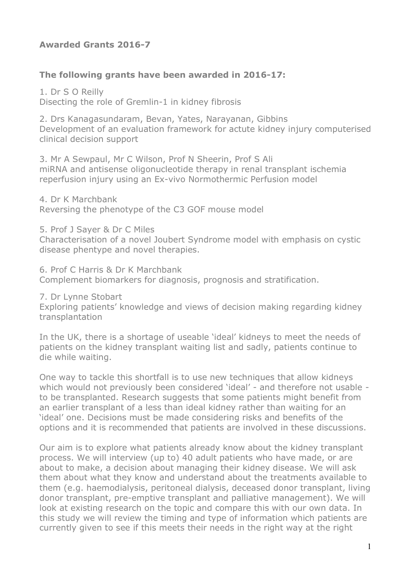### **Awarded Grants 2016-7**

#### **The following grants have been awarded in 2016-17:**

1. Dr S O Reilly Disecting the role of Gremlin-1 in kidney fibrosis

2. Drs Kanagasundaram, Bevan, Yates, Narayanan, Gibbins Development of an evaluation framework for actute kidney injury computerised clinical decision support

3. Mr A Sewpaul, Mr C Wilson, Prof N Sheerin, Prof S Ali miRNA and antisense oligonucleotide therapy in renal transplant ischemia reperfusion injury using an Ex-vivo Normothermic Perfusion model

4. Dr K Marchbank Reversing the phenotype of the C3 GOF mouse model

5. Prof J Sayer & Dr C Miles

Characterisation of a novel Joubert Syndrome model with emphasis on cystic disease phentype and novel therapies.

6. Prof C Harris & Dr K Marchbank Complement biomarkers for diagnosis, prognosis and stratification.

7. Dr Lynne Stobart

Exploring patients' knowledge and views of decision making regarding kidney transplantation

In the UK, there is a shortage of useable 'ideal' kidneys to meet the needs of patients on the kidney transplant waiting list and sadly, patients continue to die while waiting.

One way to tackle this shortfall is to use new techniques that allow kidneys which would not previously been considered 'ideal' - and therefore not usable to be transplanted. Research suggests that some patients might benefit from an earlier transplant of a less than ideal kidney rather than waiting for an 'ideal' one. Decisions must be made considering risks and benefits of the options and it is recommended that patients are involved in these discussions.

Our aim is to explore what patients already know about the kidney transplant process. We will interview (up to) 40 adult patients who have made, or are about to make, a decision about managing their kidney disease. We will ask them about what they know and understand about the treatments available to them (e.g. haemodialysis, peritoneal dialysis, deceased donor transplant, living donor transplant, pre-emptive transplant and palliative management). We will look at existing research on the topic and compare this with our own data. In this study we will review the timing and type of information which patients are currently given to see if this meets their needs in the right way at the right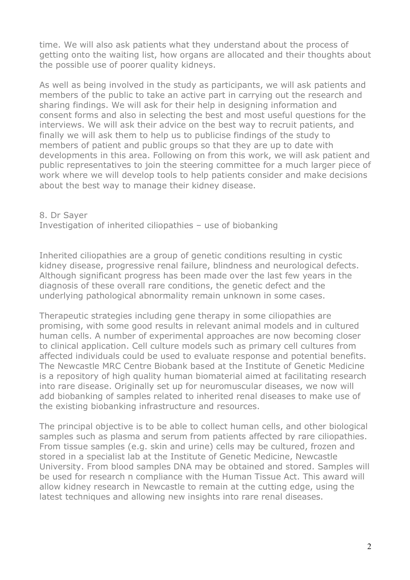time. We will also ask patients what they understand about the process of getting onto the waiting list, how organs are allocated and their thoughts about the possible use of poorer quality kidneys.

As well as being involved in the study as participants, we will ask patients and members of the public to take an active part in carrying out the research and sharing findings. We will ask for their help in designing information and consent forms and also in selecting the best and most useful questions for the interviews. We will ask their advice on the best way to recruit patients, and finally we will ask them to help us to publicise findings of the study to members of patient and public groups so that they are up to date with developments in this area. Following on from this work, we will ask patient and public representatives to join the steering committee for a much larger piece of work where we will develop tools to help patients consider and make decisions about the best way to manage their kidney disease.

8. Dr Sayer Investigation of inherited ciliopathies – use of biobanking

Inherited ciliopathies are a group of genetic conditions resulting in cystic kidney disease, progressive renal failure, blindness and neurological defects. Although significant progress has been made over the last few years in the diagnosis of these overall rare conditions, the genetic defect and the underlying pathological abnormality remain unknown in some cases.

Therapeutic strategies including gene therapy in some ciliopathies are promising, with some good results in relevant animal models and in cultured human cells. A number of experimental approaches are now becoming closer to clinical application. Cell culture models such as primary cell cultures from affected individuals could be used to evaluate response and potential benefits. The Newcastle MRC Centre Biobank based at the Institute of Genetic Medicine is a repository of high quality human biomaterial aimed at facilitating research into rare disease. Originally set up for neuromuscular diseases, we now will add biobanking of samples related to inherited renal diseases to make use of the existing biobanking infrastructure and resources.

The principal objective is to be able to collect human cells, and other biological samples such as plasma and serum from patients affected by rare ciliopathies. From tissue samples (e.g. skin and urine) cells may be cultured, frozen and stored in a specialist lab at the Institute of Genetic Medicine, Newcastle University. From blood samples DNA may be obtained and stored. Samples will be used for research n compliance with the Human Tissue Act. This award will allow kidney research in Newcastle to remain at the cutting edge, using the latest techniques and allowing new insights into rare renal diseases.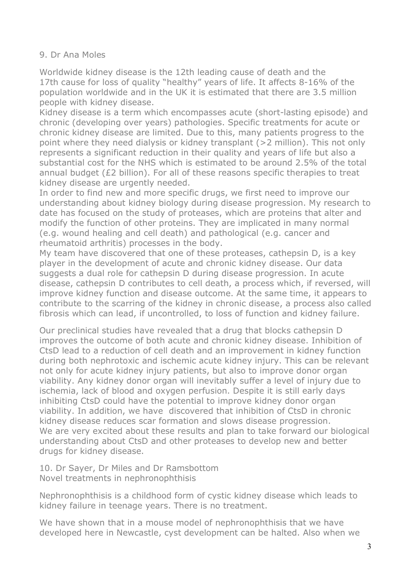#### 9. Dr Ana Moles

Worldwide kidney disease is the 12th leading cause of death and the 17th cause for loss of quality "healthy" years of life. It affects 8-16% of the population worldwide and in the UK it is estimated that there are 3.5 million people with kidney disease.

Kidney disease is a term which encompasses acute (short-lasting episode) and chronic (developing over years) pathologies. Specific treatments for acute or chronic kidney disease are limited. Due to this, many patients progress to the point where they need dialysis or kidney transplant (>2 million). This not only represents a significant reduction in their quality and years of life but also a substantial cost for the NHS which is estimated to be around 2.5% of the total annual budget (£2 billion). For all of these reasons specific therapies to treat kidney disease are urgently needed.

In order to find new and more specific drugs, we first need to improve our understanding about kidney biology during disease progression. My research to date has focused on the study of proteases, which are proteins that alter and modify the function of other proteins. They are implicated in many normal (e.g. wound healing and cell death) and pathological (e.g. cancer and rheumatoid arthritis) processes in the body.

My team have discovered that one of these proteases, cathepsin D, is a key player in the development of acute and chronic kidney disease. Our data suggests a dual role for cathepsin D during disease progression. In acute disease, cathepsin D contributes to cell death, a process which, if reversed, will improve kidney function and disease outcome. At the same time, it appears to contribute to the scarring of the kidney in chronic disease, a process also called fibrosis which can lead, if uncontrolled, to loss of function and kidney failure.

Our preclinical studies have revealed that a drug that blocks cathepsin D improves the outcome of both acute and chronic kidney disease. Inhibition of CtsD lead to a reduction of cell death and an improvement in kidney function during both nephrotoxic and ischemic acute kidney injury. This can be relevant not only for acute kidney injury patients, but also to improve donor organ viability. Any kidney donor organ will inevitably suffer a level of injury due to ischemia, lack of blood and oxygen perfusion. Despite it is still early days inhibiting CtsD could have the potential to improve kidney donor organ viability. In addition, we have discovered that inhibition of CtsD in chronic kidney disease reduces scar formation and slows disease progression. We are very excited about these results and plan to take forward our biological understanding about CtsD and other proteases to develop new and better drugs for kidney disease.

10. Dr Sayer, Dr Miles and Dr Ramsbottom Novel treatments in nephronophthisis

Nephronophthisis is a childhood form of cystic kidney disease which leads to kidney failure in teenage years. There is no treatment.

We have shown that in a mouse model of nephronophthisis that we have developed here in Newcastle, cyst development can be halted. Also when we